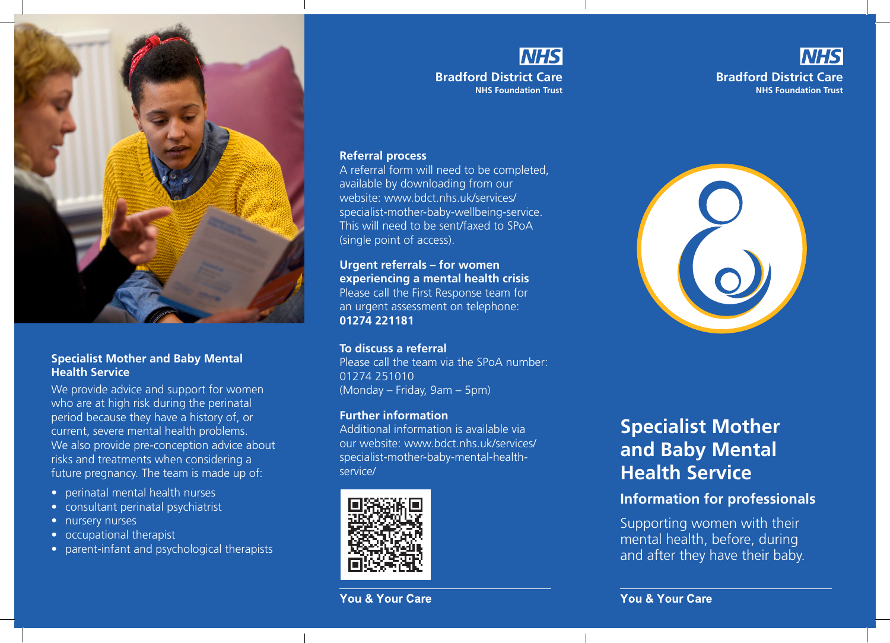

#### **Specialist Mother and Baby Mental Health Service**

We provide advice and support for women who are at high risk during the perinatal period because they have a history of, or current, severe mental health problems. We also provide pre-conception advice about risks and treatments when considering a future pregnancy. The team is made up of:

- perinatal mental health nurses
- consultant perinatal psychiatrist
- nursery nurses
- occupational therapist
- parent-infant and psychological therapists

# **NHS**

**Bradford District Care NHS Foundation Trust**

### **NHS Bradford District Care NHS Foundation Trust**

#### **Referral process**

A referral form will need to be completed, available by downloading from our website: www.bdct.nhs.uk/services/ specialist-mother-baby-wellbeing-service. This will need to be sent/faxed to SPoA (single point of access).

**Urgent referrals – for women experiencing a mental health crisis**  Please call the First Response team for an urgent assessment on telephone: **01274 221181** 

#### **To discuss a referral**

Please call the team via the SPoA number: 01274 251010 (Monday – Friday, 9am – 5pm)

#### **Further information**

Additional information is available via our website: www.bdct.nhs.uk/services/ specialist-mother-baby-mental-healthservice/



#### **You & Your Care**



# **Specialist Mother and Baby Mental Health Service**

## **Information for professionals**

Supporting women with their mental health, before, during and after they have their baby.

**You & Your Care**